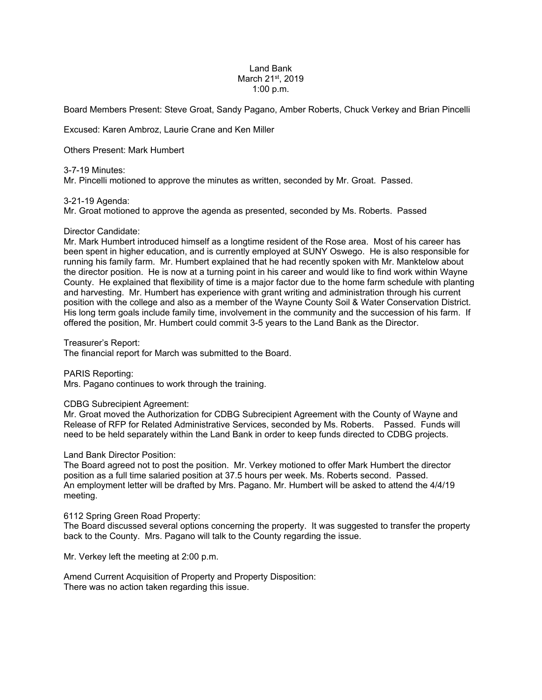## Land Bank March 21<sup>st</sup>, 2019 1:00 p.m.

Board Members Present: Steve Groat, Sandy Pagano, Amber Roberts, Chuck Verkey and Brian Pincelli

Excused: Karen Ambroz, Laurie Crane and Ken Miller

# Others Present: Mark Humbert

# 3-7-19 Minutes:

Mr. Pincelli motioned to approve the minutes as written, seconded by Mr. Groat. Passed.

# 3-21-19 Agenda:

Mr. Groat motioned to approve the agenda as presented, seconded by Ms. Roberts. Passed

# Director Candidate:

Mr. Mark Humbert introduced himself as a longtime resident of the Rose area. Most of his career has been spent in higher education, and is currently employed at SUNY Oswego. He is also responsible for running his family farm. Mr. Humbert explained that he had recently spoken with Mr. Manktelow about the director position. He is now at a turning point in his career and would like to find work within Wayne County. He explained that flexibility of time is a major factor due to the home farm schedule with planting and harvesting. Mr. Humbert has experience with grant writing and administration through his current position with the college and also as a member of the Wayne County Soil & Water Conservation District. His long term goals include family time, involvement in the community and the succession of his farm. If offered the position, Mr. Humbert could commit 3-5 years to the Land Bank as the Director.

# Treasurer's Report:

The financial report for March was submitted to the Board.

# PARIS Reporting:

Mrs. Pagano continues to work through the training.

# CDBG Subrecipient Agreement:

Mr. Groat moved the Authorization for CDBG Subrecipient Agreement with the County of Wayne and Release of RFP for Related Administrative Services, seconded by Ms. Roberts. Passed. Funds will need to be held separately within the Land Bank in order to keep funds directed to CDBG projects.

# Land Bank Director Position:

The Board agreed not to post the position. Mr. Verkey motioned to offer Mark Humbert the director position as a full time salaried position at 37.5 hours per week. Ms. Roberts second. Passed. An employment letter will be drafted by Mrs. Pagano. Mr. Humbert will be asked to attend the 4/4/19 meeting.

# 6112 Spring Green Road Property:

The Board discussed several options concerning the property. It was suggested to transfer the property back to the County. Mrs. Pagano will talk to the County regarding the issue.

Mr. Verkey left the meeting at 2:00 p.m.

Amend Current Acquisition of Property and Property Disposition: There was no action taken regarding this issue.